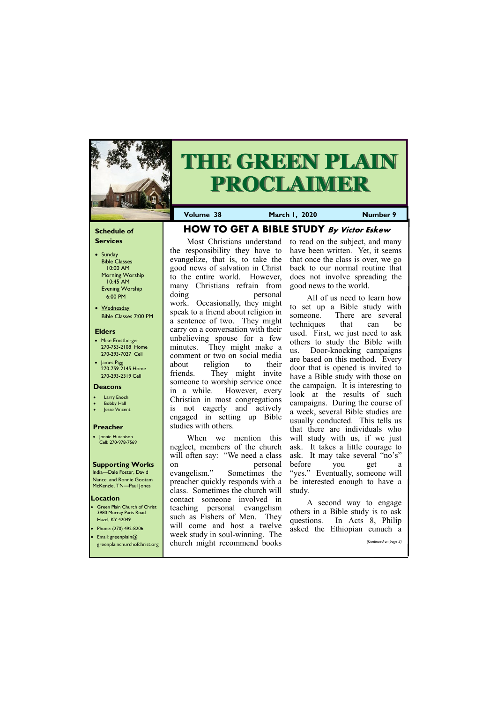#### **Schedule of Services**

- Sunday Bible Classes 10:00 AM Morning Worship 10:45 AM Evening Worship 6:00 PM
- Wednesday Bible Classes 7:00 PM

#### **Elders**

**Green Plain Church of Christ** 3980 Murray Paris Road Hazel, KY 42049 • Phone: (270) 492-8206

- Mike Ernstberger 270-753-2108 Home 270-293-7027 Cell
- James Pigg 270-759-2145 Home 270-293-2319 Cell

#### **Location**



# **THE GREEN PLAIN PROCLAIMER**

**Volume 38 March 1, 2020 Number 9**

#### **Deacons**

- **Larry Enoch**
- **Bobby Hall**
- **Jesse Vincent**

#### **Preacher**

• Jonnie Hutchison Cell: 270-978-7569

#### **Supporting Works**

India—Dale Foster, David Nance. and Ronnie Gootam McKenzie, TN—Paul Jones

**HOW TO GET A BIBLE STUDY By Victor Eskew**

Most Christians understand

the responsibility they have to evangelize, that is, to take the good news of salvation in Christ to the entire world. However, many Christians refrain from doing personal work. Occasionally, they might speak to a friend about religion in a sentence of two. They might carry on a conversation with their unbelieving spouse for a few minutes. They might make a comment or two on social media about religion to their friends. They might invite someone to worship service once in a while. However, every Christian in most congregations is not eagerly and actively engaged in setting up Bible

studies with others.

When we mention this

neglect, members of the church will often say: "We need a class on personal evangelism." Sometimes the preacher quickly responds with a class. Sometimes the church will contact someone involved in teaching personal evangelism such as Fishers of Men. They will come and host a twelve

| • Email: greenplain $@$<br>greenplainchurchofchrist.org | week study in soul-winning. The<br>church might recommend books |  | $\mu$ asked the Lunopian cunture $\mu$ | (Continued on page 3) |  |
|---------------------------------------------------------|-----------------------------------------------------------------|--|----------------------------------------|-----------------------|--|
|                                                         |                                                                 |  |                                        |                       |  |

to read on the subject, and many have been written. Yet, it seems that once the class is over, we go back to our normal routine that does not involve spreading the good news to the world.

All of us need to learn how to set up a Bible study with someone. There are several techniques that can be used. First, we just need to ask others to study the Bible with us. Door-knocking campaigns are based on this method. Every door that is opened is invited to have a Bible study with those on the campaign. It is interesting to look at the results of such campaigns. During the course of a week, several Bible studies are usually conducted. This tells us that there are individuals who will study with us, if we just ask. It takes a little courage to ask. It may take several "no's" before you get a "yes." Eventually, someone will be interested enough to have a study.

A second way to engage others in a Bible study is to ask questions. In Acts 8, Philip asked the Ethiopian eunuch a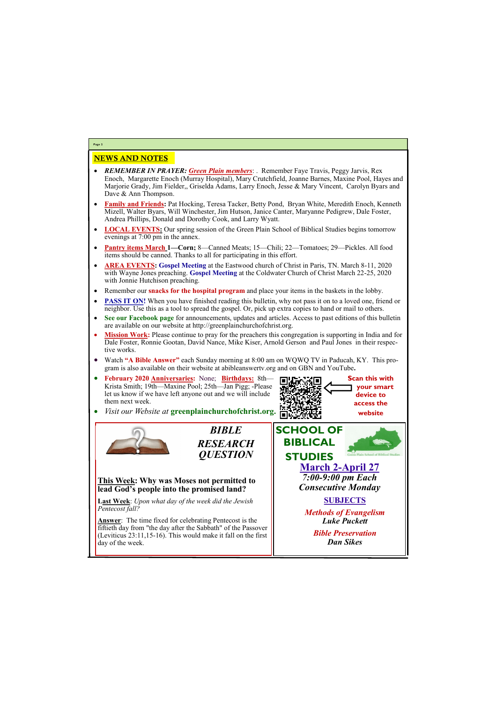### NEWS AND NOTES

- *REMEMBER IN PRAYER: Green Plain members*: . Remember Faye Travis, Peggy Jarvis, Rex Enoch, Margarette Enoch (Murray Hospital), Mary Crutchfield, Joanne Barnes, Maxine Pool, Hayes and Marjorie Grady, Jim Fielder,, Griselda Adams, Larry Enoch, Jesse & Mary Vincent, Carolyn Byars and Dave & Ann Thompson.
- **Family and Friends:** Pat Hocking, Teresa Tacker, Betty Pond, Bryan White, Meredith Enoch, Kenneth Mizell, Walter Byars, Will Winchester, Jim Hutson, Janice Canter, Maryanne Pedigrew, Dale Foster, Andrea Phillips, Donald and Dorothy Cook, and Larry Wyatt.
- **LOCAL EVENTS:** Our spring session of the Green Plain School of Biblical Studies begins tomorrow evenings at 7:00 pm in the annex.
- **Pantry items March 1—Corn;** 8—Canned Meats; 15—Chili; 22—Tomatoes; 29—Pickles. All food items should be canned. Thanks to all for participating in this effort.
- **AREA EVENTS: Gospel Meeting** at the Eastwood church of Christ in Paris, TN. March 8-11, 2020 with Wayne Jones preaching. **Gospel Meeting** at the Coldwater Church of Christ March 22-25, 2020 with Jonnie Hutchison preaching.
- Remember our **snacks for the hospital program** and place your items in the baskets in the lobby.
- **PASS IT ON!** When you have finished reading this bulletin, why not pass it on to a loved one, friend or neighbor. Use this as a tool to spread the gospel. Or, pick up extra copies to hand or mail to others.
- **See our Facebook page** for announcements, updates and articles. Access to past editions of this bulletin are available on our website at http://greenplainchurchofchrist.org.
- **Mission Work:** Please continue to pray for the preachers this congregation is supporting in India and for Dale Foster, Ronnie Gootan, David Nance, Mike Kiser, Arnold Gerson and Paul Jones in their respective works.
- Watch **"A Bible Answer"** each Sunday morning at 8:00 am on WQWQ TV in Paducah, KY. This program is also available on their website at abibleanswertv.org and on GBN and YouTube**.**
- **February 2020 Anniversaries:** None; **Birthdays:** 8th— Krista Smith; 19th—Maxine Pool; 25th—Jan Pigg; -Please let us know if we have left anyone out and we will include them next week.

• *Visit our Website at* **greenplainchurchofchrist.org.**



**Page 2**

*BIBLE* 

*RESEARCH QUESTION*

**This Week: Why was Moses not permitted to lead God's people into the promised land?** 

**Last Week**: *Upon what day of the week did the Jewish Pentecost fall?*

**Answer**: The time fixed for celebrating Pentecost is the fiftieth day from "the day after the Sabbath" of the Passover (Leviticus 23:11,15-16). This would make it fall on the first day of the week.



*Bible Preservation Dan Sikes*

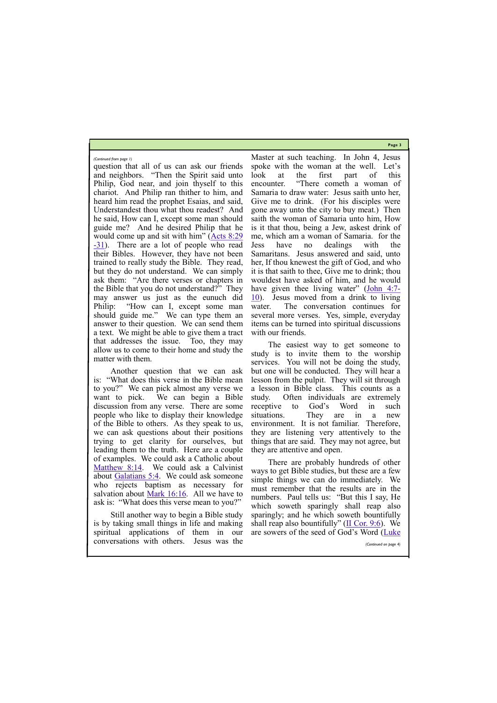**Page 3**

question that all of us can ask our friends and neighbors. "Then the Spirit said unto Philip, God near, and join thyself to this chariot. And Philip ran thither to him, and heard him read the prophet Esaias, and said, Understandest thou what thou readest? And he said, How can I, except some man should guide me? And he desired Philip that he would come up and sit with him" ([Acts 8:29](https://biblia.com/bible/kjv1900/Acts%208.29-31) -[31\)](https://biblia.com/bible/kjv1900/Acts%208.29-31). There are a lot of people who read their Bibles. However, they have not been trained to really study the Bible. They read, but they do not understand. We can simply ask them: "Are there verses or chapters in the Bible that you do not understand?" They may answer us just as the eunuch did Philip: "How can I, except some man should guide me." We can type them an answer to their question. We can send them a text. We might be able to give them a tract that addresses the issue. Too, they may allow us to come to their home and study the matter with them.

Another question that we can ask is: "What does this verse in the Bible mean to you?" We can pick almost any verse we want to pick. We can begin a Bible discussion from any verse. There are some people who like to display their knowledge of the Bible to others. As they speak to us, we can ask questions about their positions trying to get clarity for ourselves, but leading them to the truth. Here are a couple of examples. We could ask a Catholic about [Matthew 8:14.](https://biblia.com/bible/kjv1900/Matt%208.14) We could ask a Calvinist about [Galatians 5:4.](https://biblia.com/bible/kjv1900/Gal%205.4) We could ask someone who rejects baptism as necessary for salvation about <u>Mark 16:16</u>. All we have to ask is: "What does this verse mean to you?"

Still another way to begin a Bible study is by taking small things in life and making

Master at such teaching. In John 4, Jesus spoke with the woman at the well. Let's look at the first part of this encounter. "There cometh a woman of Samaria to draw water: Jesus saith unto her, Give me to drink. (For his disciples were gone away unto the city to buy meat.) Then saith the woman of Samaria unto him, How is it that thou, being a Jew, askest drink of me, which am a woman of Samaria. for the Jess have no dealings with the Samaritans. Jesus answered and said, unto her, If thou knewest the gift of God, and who it is that saith to thee, Give me to drink; thou wouldest have asked of him, and he would have given thee living water" ([John 4:7](https://biblia.com/bible/kjv1900/John%204.7-10)-[10\)](https://biblia.com/bible/kjv1900/John%204.7-10). Jesus moved from a drink to living water. The conversation continues for several more verses. Yes, simple, everyday items can be turned into spiritual discussions with our friends.

|                                          |  |  | spiritual applications of them in our are sowers of the seed of God's Word (Luke |
|------------------------------------------|--|--|----------------------------------------------------------------------------------|
| conversations with others. Jesus was the |  |  | (Continued on page 4)                                                            |

The easiest way to get someone to study is to invite them to the worship services. You will not be doing the study, but one will be conducted. They will hear a lesson from the pulpit. They will sit through a lesson in Bible class. This counts as a study. Often individuals are extremely receptive to God's Word in such situations. They are in a new environment. It is not familiar. Therefore, they are listening very attentively to the things that are said. They may not agree, but they are attentive and open.

There are probably hundreds of other ways to get Bible studies, but these are a few simple things we can do immediately. We must remember that the results are in the numbers. Paul tells us: "But this I say, He which soweth sparingly shall reap also sparingly; and he which soweth bountifully shall reap also bountifully" ([II Cor. 9:6\).](https://biblia.com/bible/kjv1900/2%20Cor.%209.6) We

*(Continued from page 1)*